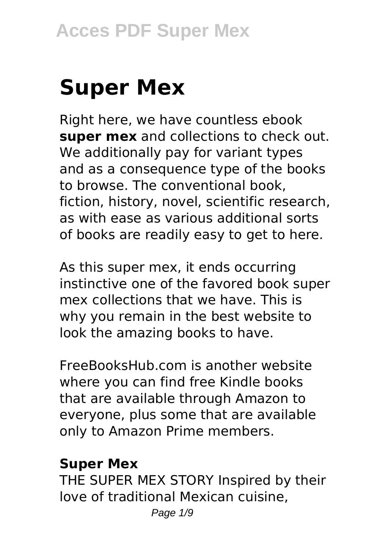# **Super Mex**

Right here, we have countless ebook **super mex** and collections to check out. We additionally pay for variant types and as a consequence type of the books to browse. The conventional book, fiction, history, novel, scientific research, as with ease as various additional sorts of books are readily easy to get to here.

As this super mex, it ends occurring instinctive one of the favored book super mex collections that we have. This is why you remain in the best website to look the amazing books to have.

FreeBooksHub.com is another website where you can find free Kindle books that are available through Amazon to everyone, plus some that are available only to Amazon Prime members.

#### **Super Mex**

THE SUPER MEX STORY Inspired by their love of traditional Mexican cuisine,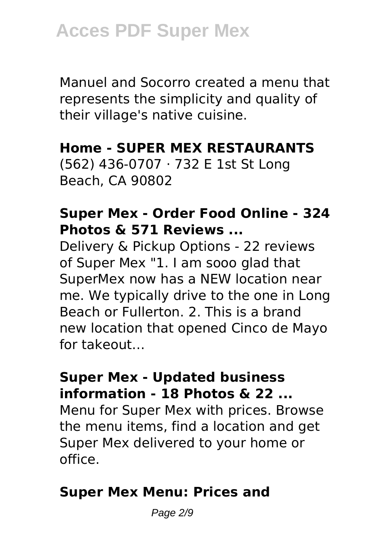Manuel and Socorro created a menu that represents the simplicity and quality of their village's native cuisine.

#### **Home - SUPER MEX RESTAURANTS**

(562) 436-0707 · 732 E 1st St Long Beach, CA 90802

#### **Super Mex - Order Food Online - 324 Photos & 571 Reviews ...**

Delivery & Pickup Options - 22 reviews of Super Mex "1. I am sooo glad that SuperMex now has a NEW location near me. We typically drive to the one in Long Beach or Fullerton. 2. This is a brand new location that opened Cinco de Mayo for takeout…

#### **Super Mex - Updated business information - 18 Photos & 22 ...**

Menu for Super Mex with prices. Browse the menu items, find a location and get Super Mex delivered to your home or office.

#### **Super Mex Menu: Prices and**

Page 2/9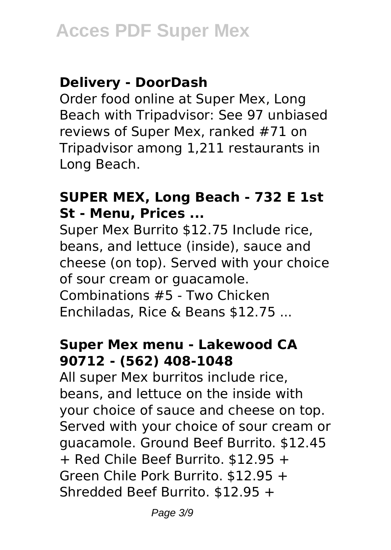#### **Delivery - DoorDash**

Order food online at Super Mex, Long Beach with Tripadvisor: See 97 unbiased reviews of Super Mex, ranked #71 on Tripadvisor among 1,211 restaurants in Long Beach.

#### **SUPER MEX, Long Beach - 732 E 1st St - Menu, Prices ...**

Super Mex Burrito \$12.75 Include rice, beans, and lettuce (inside), sauce and cheese (on top). Served with your choice of sour cream or guacamole. Combinations #5 - Two Chicken Enchiladas, Rice & Beans \$12.75 ...

#### **Super Mex menu - Lakewood CA 90712 - (562) 408-1048**

All super Mex burritos include rice, beans, and lettuce on the inside with your choice of sauce and cheese on top. Served with your choice of sour cream or guacamole. Ground Beef Burrito. \$12.45 + Red Chile Beef Burrito. \$12.95 + Green Chile Pork Burrito. \$12.95 + Shredded Beef Burrito. \$12.95 +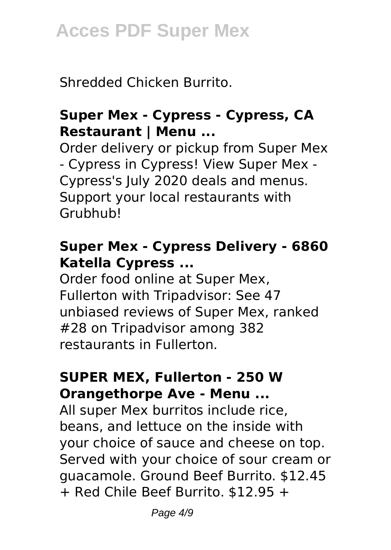Shredded Chicken Burrito.

#### **Super Mex - Cypress - Cypress, CA Restaurant | Menu ...**

Order delivery or pickup from Super Mex - Cypress in Cypress! View Super Mex - Cypress's July 2020 deals and menus. Support your local restaurants with Grubhub!

#### **Super Mex - Cypress Delivery - 6860 Katella Cypress ...**

Order food online at Super Mex, Fullerton with Tripadvisor: See 47 unbiased reviews of Super Mex, ranked #28 on Tripadvisor among 382 restaurants in Fullerton.

#### **SUPER MEX, Fullerton - 250 W Orangethorpe Ave - Menu ...**

All super Mex burritos include rice, beans, and lettuce on the inside with your choice of sauce and cheese on top. Served with your choice of sour cream or guacamole. Ground Beef Burrito. \$12.45 + Red Chile Beef Burrito. \$12.95 +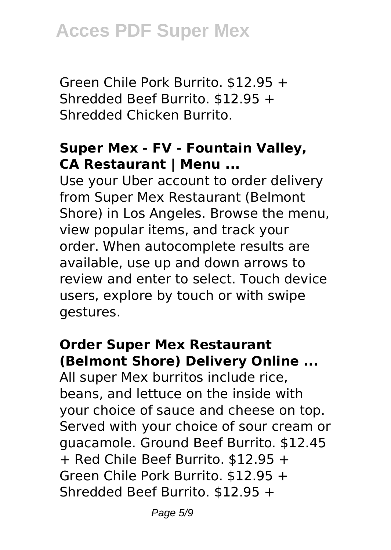Green Chile Pork Burrito. \$12.95 + Shredded Beef Burrito. \$12.95 + Shredded Chicken Burrito.

#### **Super Mex - FV - Fountain Valley, CA Restaurant | Menu ...**

Use your Uber account to order delivery from Super Mex Restaurant (Belmont Shore) in Los Angeles. Browse the menu, view popular items, and track your order. When autocomplete results are available, use up and down arrows to review and enter to select. Touch device users, explore by touch or with swipe gestures.

#### **Order Super Mex Restaurant (Belmont Shore) Delivery Online ...**

All super Mex burritos include rice, beans, and lettuce on the inside with your choice of sauce and cheese on top. Served with your choice of sour cream or guacamole. Ground Beef Burrito. \$12.45 + Red Chile Beef Burrito. \$12.95 + Green Chile Pork Burrito. \$12.95 + Shredded Beef Burrito. \$12.95 +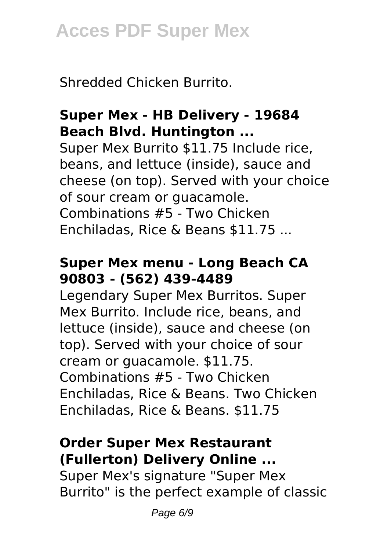Shredded Chicken Burrito.

### **Super Mex - HB Delivery - 19684 Beach Blvd. Huntington ...**

Super Mex Burrito \$11.75 Include rice, beans, and lettuce (inside), sauce and cheese (on top). Served with your choice of sour cream or guacamole. Combinations #5 - Two Chicken Enchiladas, Rice & Beans \$11.75 ...

#### **Super Mex menu - Long Beach CA 90803 - (562) 439-4489**

Legendary Super Mex Burritos. Super Mex Burrito. Include rice, beans, and lettuce (inside), sauce and cheese (on top). Served with your choice of sour cream or guacamole. \$11.75. Combinations #5 - Two Chicken Enchiladas, Rice & Beans. Two Chicken Enchiladas, Rice & Beans. \$11.75

#### **Order Super Mex Restaurant (Fullerton) Delivery Online ...**

Super Mex's signature "Super Mex Burrito" is the perfect example of classic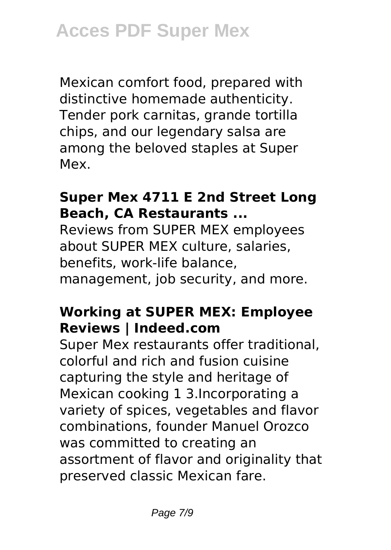Mexican comfort food, prepared with distinctive homemade authenticity. Tender pork carnitas, grande tortilla chips, and our legendary salsa are among the beloved staples at Super Mex.

#### **Super Mex 4711 E 2nd Street Long Beach, CA Restaurants ...**

Reviews from SUPER MEX employees about SUPER MEX culture, salaries, benefits, work-life balance, management, job security, and more.

#### **Working at SUPER MEX: Employee Reviews | Indeed.com**

Super Mex restaurants offer traditional, colorful and rich and fusion cuisine capturing the style and heritage of Mexican cooking 1 3.Incorporating a variety of spices, vegetables and flavor combinations, founder Manuel Orozco was committed to creating an assortment of flavor and originality that preserved classic Mexican fare.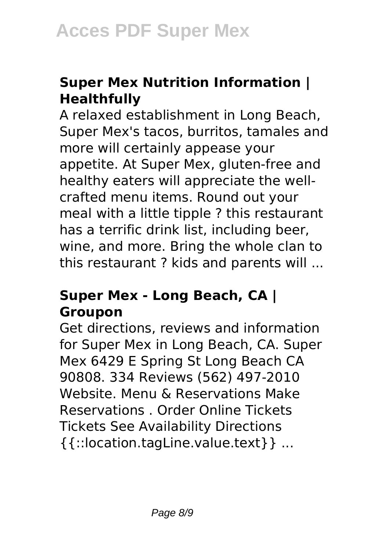### **Super Mex Nutrition Information | Healthfully**

A relaxed establishment in Long Beach, Super Mex's tacos, burritos, tamales and more will certainly appease your appetite. At Super Mex, gluten-free and healthy eaters will appreciate the wellcrafted menu items. Round out your meal with a little tipple ? this restaurant has a terrific drink list, including beer, wine, and more. Bring the whole clan to this restaurant ? kids and parents will ...

#### **Super Mex - Long Beach, CA | Groupon**

Get directions, reviews and information for Super Mex in Long Beach, CA. Super Mex 6429 E Spring St Long Beach CA 90808. 334 Reviews (562) 497-2010 Website. Menu & Reservations Make Reservations . Order Online Tickets Tickets See Availability Directions {{::location.tagLine.value.text}} ...